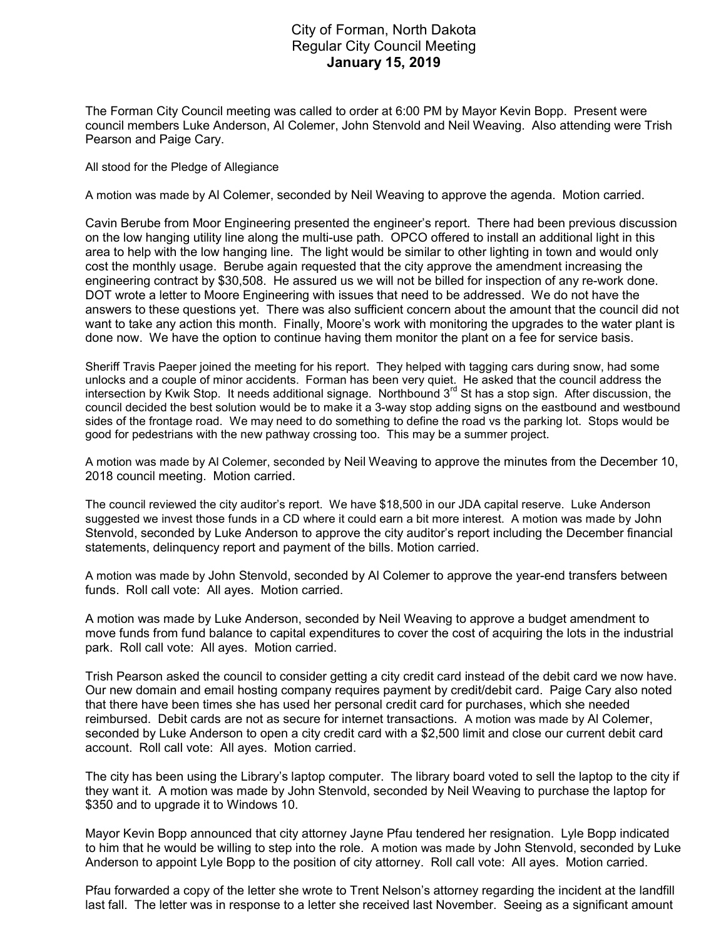## City of Forman, North Dakota Regular City Council Meeting January 15, 2019

The Forman City Council meeting was called to order at 6:00 PM by Mayor Kevin Bopp. Present were council members Luke Anderson, Al Colemer, John Stenvold and Neil Weaving. Also attending were Trish Pearson and Paige Cary.

All stood for the Pledge of Allegiance

A motion was made by Al Colemer, seconded by Neil Weaving to approve the agenda. Motion carried.

Cavin Berube from Moor Engineering presented the engineer's report. There had been previous discussion on the low hanging utility line along the multi-use path. OPCO offered to install an additional light in this area to help with the low hanging line. The light would be similar to other lighting in town and would only cost the monthly usage. Berube again requested that the city approve the amendment increasing the engineering contract by \$30,508. He assured us we will not be billed for inspection of any re-work done. DOT wrote a letter to Moore Engineering with issues that need to be addressed. We do not have the answers to these questions yet. There was also sufficient concern about the amount that the council did not want to take any action this month. Finally, Moore's work with monitoring the upgrades to the water plant is done now. We have the option to continue having them monitor the plant on a fee for service basis.

Sheriff Travis Paeper joined the meeting for his report. They helped with tagging cars during snow, had some unlocks and a couple of minor accidents. Forman has been very quiet. He asked that the council address the intersection by Kwik Stop. It needs additional signage. Northbound  $3<sup>rd</sup>$  St has a stop sign. After discussion, the council decided the best solution would be to make it a 3-way stop adding signs on the eastbound and westbound sides of the frontage road. We may need to do something to define the road vs the parking lot. Stops would be good for pedestrians with the new pathway crossing too. This may be a summer project.

A motion was made by Al Colemer, seconded by Neil Weaving to approve the minutes from the December 10, 2018 council meeting. Motion carried.

The council reviewed the city auditor's report. We have \$18,500 in our JDA capital reserve. Luke Anderson suggested we invest those funds in a CD where it could earn a bit more interest. A motion was made by John Stenvold, seconded by Luke Anderson to approve the city auditor's report including the December financial statements, delinquency report and payment of the bills. Motion carried.

A motion was made by John Stenvold, seconded by Al Colemer to approve the year-end transfers between funds. Roll call vote: All ayes. Motion carried.

A motion was made by Luke Anderson, seconded by Neil Weaving to approve a budget amendment to move funds from fund balance to capital expenditures to cover the cost of acquiring the lots in the industrial park. Roll call vote: All ayes. Motion carried.

Trish Pearson asked the council to consider getting a city credit card instead of the debit card we now have. Our new domain and email hosting company requires payment by credit/debit card. Paige Cary also noted that there have been times she has used her personal credit card for purchases, which she needed reimbursed. Debit cards are not as secure for internet transactions. A motion was made by Al Colemer, seconded by Luke Anderson to open a city credit card with a \$2,500 limit and close our current debit card account. Roll call vote: All ayes. Motion carried.

The city has been using the Library's laptop computer. The library board voted to sell the laptop to the city if they want it. A motion was made by John Stenvold, seconded by Neil Weaving to purchase the laptop for \$350 and to upgrade it to Windows 10.

Mayor Kevin Bopp announced that city attorney Jayne Pfau tendered her resignation. Lyle Bopp indicated to him that he would be willing to step into the role. A motion was made by John Stenvold, seconded by Luke Anderson to appoint Lyle Bopp to the position of city attorney. Roll call vote: All ayes. Motion carried.

Pfau forwarded a copy of the letter she wrote to Trent Nelson's attorney regarding the incident at the landfill last fall. The letter was in response to a letter she received last November. Seeing as a significant amount